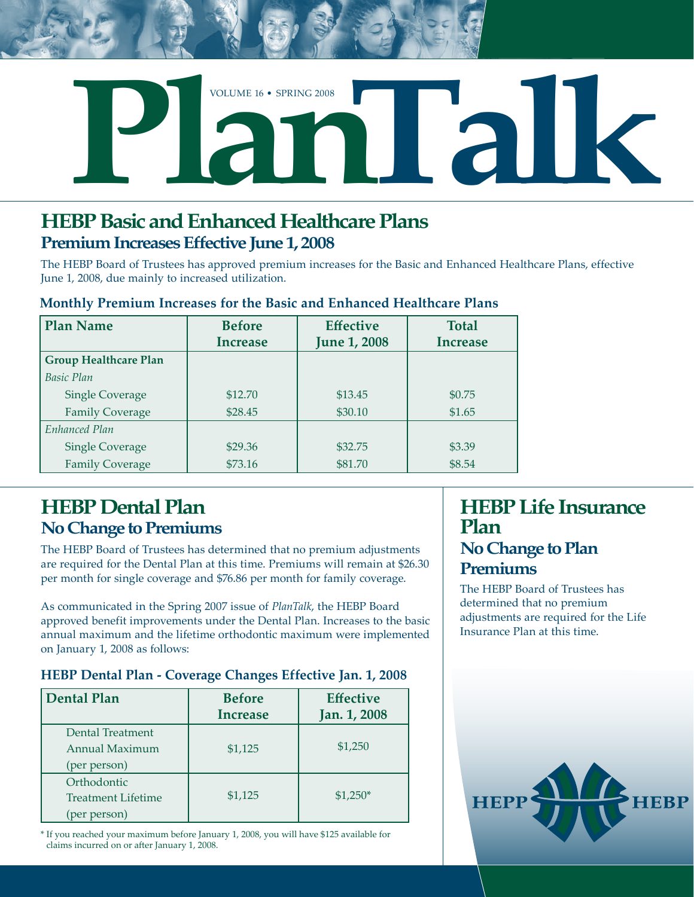

## **HEBP Basic and Enhanced Healthcare Plans Premium Increases Effective June 1, 2008**

The HEBP Board of Trustees has approved premium increases for the Basic and Enhanced Healthcare Plans, effective June 1, 2008, due mainly to increased utilization.

| <b>Plan Name</b>             | <b>Before</b><br><b>Increase</b> | <b>Effective</b><br><b>June 1, 2008</b> | <b>Total</b><br><b>Increase</b> |
|------------------------------|----------------------------------|-----------------------------------------|---------------------------------|
| <b>Group Healthcare Plan</b> |                                  |                                         |                                 |
| <b>Basic Plan</b>            |                                  |                                         |                                 |
| <b>Single Coverage</b>       | \$12.70                          | \$13.45                                 | \$0.75                          |
| <b>Family Coverage</b>       | \$28.45                          | \$30.10                                 | \$1.65                          |
| Enhanced Plan                |                                  |                                         |                                 |
| <b>Single Coverage</b>       | \$29.36                          | \$32.75                                 | \$3.39                          |
| <b>Family Coverage</b>       | \$73.16                          | \$81.70                                 | \$8.54                          |

#### **Monthly Premium Increases for the Basic and Enhanced Healthcare Plans**

## **HEBP Dental Plan No Change to Premiums**

The HEBP Board of Trustees has determined that no premium adjustments are required for the Dental Plan at this time. Premiums will remain at \$26.30 per month for single coverage and \$76.86 per month for family coverage.

As communicated in the Spring 2007 issue of *PlanTalk*, the HEBP Board approved benefit improvements under the Dental Plan. Increases to the basic annual maximum and the lifetime orthodontic maximum were implemented on January 1, 2008 as follows:

#### **HEBP Dental Plan - Coverage Changes Effective Jan. 1, 2008**

| <b>Dental Plan</b>                                       | <b>Before</b><br><b>Increase</b> | <b>Effective</b><br>Jan. 1, 2008 |
|----------------------------------------------------------|----------------------------------|----------------------------------|
| Dental Treatment<br>Annual Maximum<br>(per person)       | \$1,125                          | \$1,250                          |
| Orthodontic<br><b>Treatment Lifetime</b><br>(per person) | \$1,125                          | $$1,250*$                        |

\* If you reached your maximum before January 1, 2008, you will have \$125 available for claims incurred on or after January 1, 2008.

### **HEBP Life Insurance Plan No Change to Plan Premiums**

The HEBP Board of Trustees has determined that no premium adjustments are required for the Life Insurance Plan at this time.